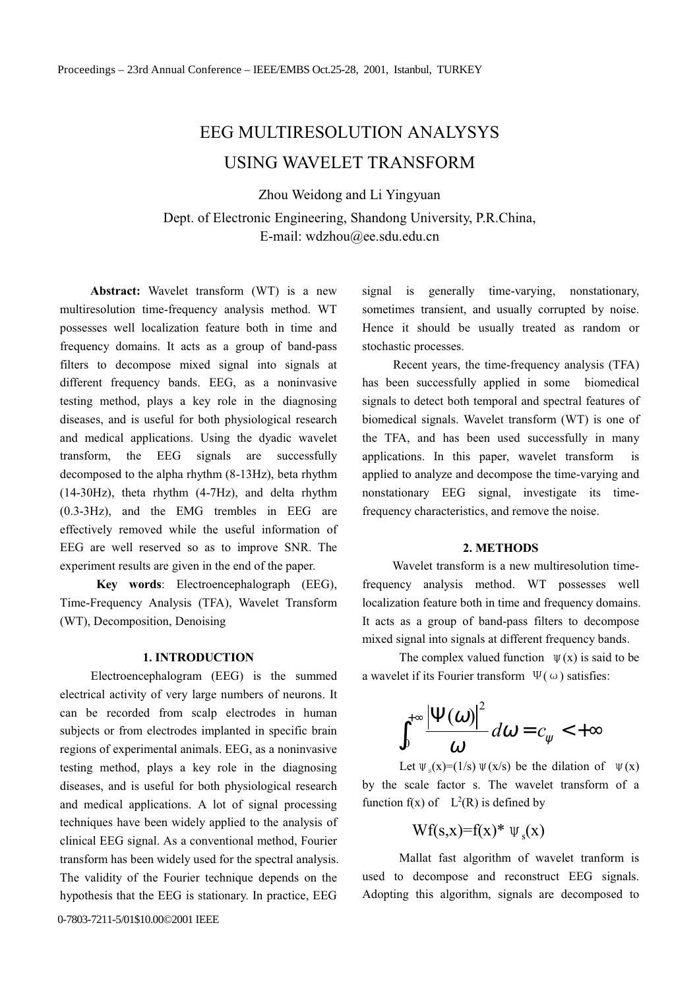# **EEG MULTIRESOLUTION ANALYSYS** USING WAVELET TRANSFORM

Zhou Weidong and Li Yingyuan

Dept. of Electronic Engineering, Shandong University, P.R.China, E-mail: wdzhou@ee.sdu.edu.cn

Abstract: Wavelet transform (WT) is a new multiresolution time-frequency analysis method. WT possesses well localization feature both in time and frequency domains. It acts as a group of band-pass filters to decompose mixed signal into signals at different frequency bands. EEG, as a noninvasive testing method, plays a key role in the diagnosing diseases, and is useful for both physiological research and medical applications. Using the dyadic wavelet transform. the EEG signals are successfully decomposed to the alpha rhythm (8-13Hz), beta rhythm  $(14-30)Hz$ , theta rhythm  $(4-7)Hz$ , and delta rhythm  $(0.3-3Hz)$ , and the EMG trembles in EEG are effectively removed while the useful information of EEG are well reserved so as to improve SNR. The experiment results are given in the end of the paper.

Key words: Electroencephalograph (EEG), Time-Frequency Analysis (TFA), Wavelet Transform (WT), Decomposition, Denoising

## **1. INTRODUCTION**

Electroencephalogram (EEG) is the summed electrical activity of very large numbers of neurons. It can be recorded from scalp electrodes in human subjects or from electrodes implanted in specific brain regions of experimental animals. EEG, as a noninvasive testing method, plays a key role in the diagnosing diseases, and is useful for both physiological research and medical applications. A lot of signal processing techniques have been widely applied to the analysis of clinical EEG signal. As a conventional method, Fourier transform has been widely used for the spectral analysis. The validity of the Fourier technique depends on the hypothesis that the EEG is stationary. In practice, EEG

signal is generally time-varying, nonstationary, sometimes transient, and usually corrupted by noise. Hence it should be usually treated as random or stochastic processes.

Recent years, the time-frequency analysis (TFA) has been successfully applied in some biomedical signals to detect both temporal and spectral features of biomedical signals. Wavelet transform (WT) is one of the TFA, and has been used successfully in many applications. In this paper, wavelet transform  $i<sub>s</sub>$ applied to analyze and decompose the time-varying and nonstationary EEG signal, investigate its timefrequency characteristics, and remove the noise.

#### 2. METHODS

Wavelet transform is a new multiresolution timefrequency analysis method. WT possesses well localization feature both in time and frequency domains. It acts as a group of band-pass filters to decompose mixed signal into signals at different frequency bands.

The complex valued function  $\Psi(x)$  is said to be a wavelet if its Fourier transform  $\Psi(\omega)$  satisfies:

$$
\int_0^{+\infty} \frac{|\Psi(\omega)|^2}{\omega} d\omega = c_{\psi} < +\infty
$$

Let  $\Psi_s(x)=(1/s)\Psi(x/s)$  be the dilation of  $\Psi(x)$ by the scale factor s. The wavelet transform of a function  $f(x)$  of  $L^2(R)$  is defined by

$$
Wf(s,x)=f(x)^* \Psi_s(x)
$$

Mallat fast algorithm of wavelet tranform is used to decompose and reconstruct EEG signals. Adopting this algorithm, signals are decomposed to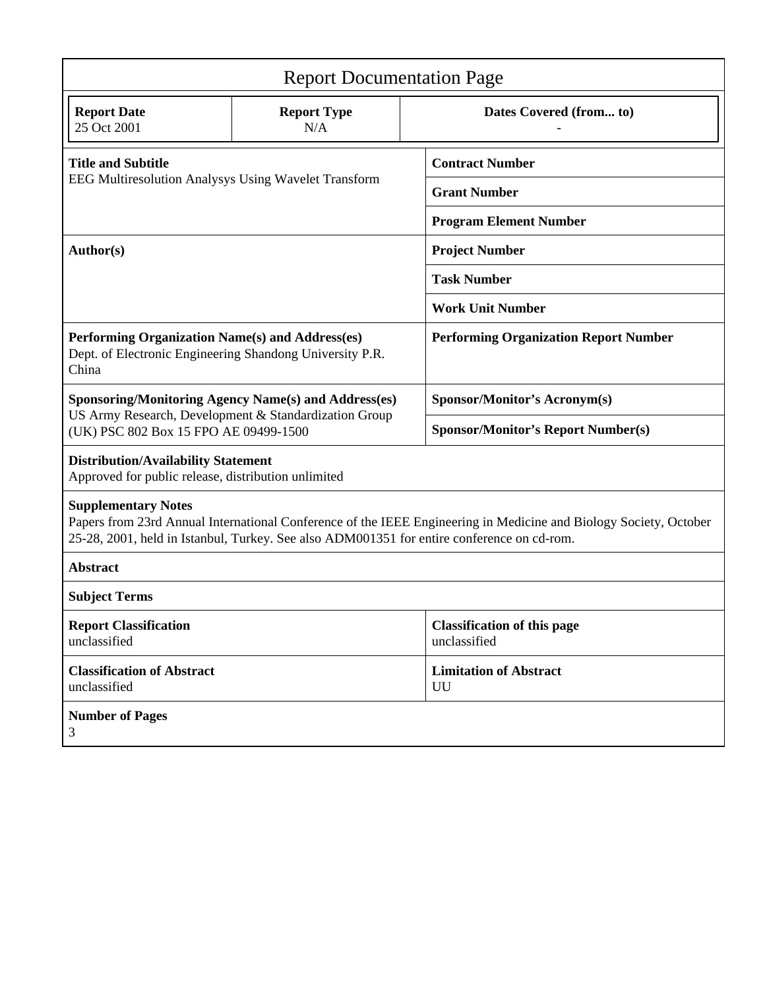| <b>Report Documentation Page</b>                                                                                                                                                                                                              |                           |                                                    |
|-----------------------------------------------------------------------------------------------------------------------------------------------------------------------------------------------------------------------------------------------|---------------------------|----------------------------------------------------|
| <b>Report Date</b><br>25 Oct 2001                                                                                                                                                                                                             | <b>Report Type</b><br>N/A | Dates Covered (from to)                            |
| <b>Title and Subtitle</b><br><b>EEG Multiresolution Analysys Using Wavelet Transform</b>                                                                                                                                                      |                           | <b>Contract Number</b>                             |
|                                                                                                                                                                                                                                               |                           | <b>Grant Number</b>                                |
|                                                                                                                                                                                                                                               |                           | <b>Program Element Number</b>                      |
| Author(s)                                                                                                                                                                                                                                     |                           | <b>Project Number</b>                              |
|                                                                                                                                                                                                                                               |                           | <b>Task Number</b>                                 |
|                                                                                                                                                                                                                                               |                           | <b>Work Unit Number</b>                            |
| Performing Organization Name(s) and Address(es)<br>Dept. of Electronic Engineering Shandong University P.R.<br>China                                                                                                                          |                           | <b>Performing Organization Report Number</b>       |
| <b>Sponsoring/Monitoring Agency Name(s) and Address(es)</b>                                                                                                                                                                                   |                           | <b>Sponsor/Monitor's Acronym(s)</b>                |
| US Army Research, Development & Standardization Group<br>(UK) PSC 802 Box 15 FPO AE 09499-1500                                                                                                                                                |                           | <b>Sponsor/Monitor's Report Number(s)</b>          |
| <b>Distribution/Availability Statement</b><br>Approved for public release, distribution unlimited                                                                                                                                             |                           |                                                    |
| <b>Supplementary Notes</b><br>Papers from 23rd Annual International Conference of the IEEE Engineering in Medicine and Biology Society, October<br>25-28, 2001, held in Istanbul, Turkey. See also ADM001351 for entire conference on cd-rom. |                           |                                                    |
| <b>Abstract</b>                                                                                                                                                                                                                               |                           |                                                    |
| <b>Subject Terms</b>                                                                                                                                                                                                                          |                           |                                                    |
| <b>Report Classification</b><br>unclassified                                                                                                                                                                                                  |                           | <b>Classification of this page</b><br>unclassified |
| <b>Classification of Abstract</b><br>unclassified                                                                                                                                                                                             |                           | <b>Limitation of Abstract</b><br>UU                |
| <b>Number of Pages</b><br>3                                                                                                                                                                                                                   |                           |                                                    |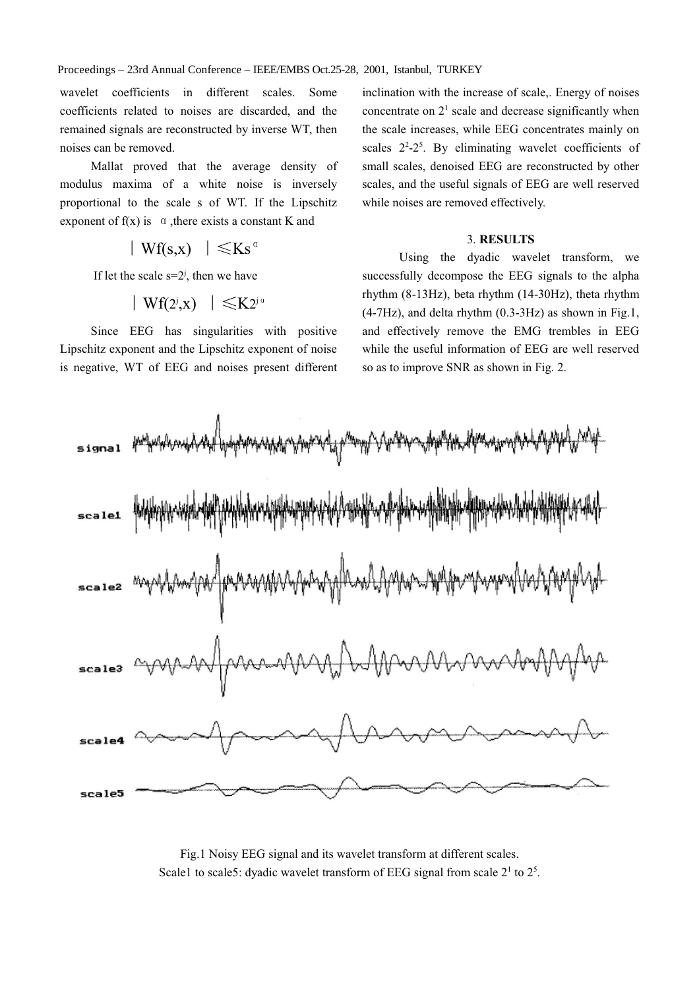Proceedings - 23rd Annual Conference - IEEE/EMBS Oct.25-28, 2001, Istanbul, TURKEY

wavelet coefficients in different scales. Some coefficients related to noises are discarded, and the remained signals are reconstructed by inverse WT, then noises can be removed.

Mallat proved that the average density of modulus maxima of a white noise is inversely proportional to the scale s of WT. If the Lipschitz exponent of  $f(x)$  is  $\alpha$ , there exists a constant K and

 $|Wf(s,x)| \leq Ks^{\alpha}$ 

If let the scale  $s=2^j$ , then we have

$$
\mid \, \mathrm{Wf}(2^{\mathrm{j}}, \mathrm{x}) \, \mid \, \leqslant \mathrm{K}2^{\mathrm{j} \, \mathrm{a}}
$$

Since EEG has singularities with positive Lipschitz exponent and the Lipschitz exponent of noise is negative, WT of EEG and noises present different

inclination with the increase of scale,. Energy of noises concentrate on  $2<sup>1</sup>$  scale and decrease significantly when the scale increases, while EEG concentrates mainly on scales  $2^2-2^5$ . By eliminating wavelet coefficients of small scales, denoised EEG are reconstructed by other scales, and the useful signals of EEG are well reserved while noises are removed effectively.

### 3. RESULTS

Using the dyadic wavelet transform, we successfully decompose the EEG signals to the alpha rhythm (8-13Hz), beta rhythm (14-30Hz), theta rhythm  $(4-7Hz)$ , and delta rhythm  $(0.3-3Hz)$  as shown in Fig.1, and effectively remove the EMG trembles in EEG while the useful information of EEG are well reserved so as to improve SNR as shown in Fig. 2.



Fig.1 Noisy EEG signal and its wavelet transform at different scales. Scale1 to scale5: dyadic wavelet transform of EEG signal from scale 2<sup>1</sup> to 2<sup>5</sup>.